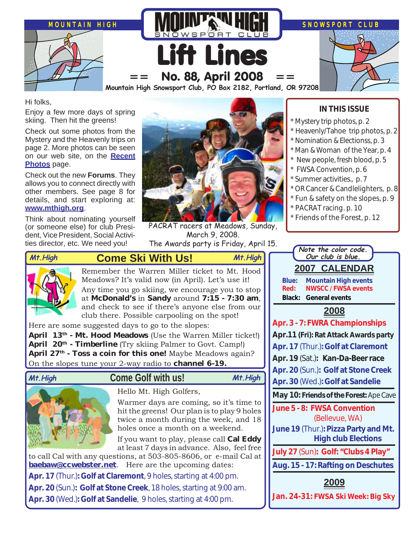

Hi folks,

Enjoy a few more days of spring skiing. Then hit the greens!

Check out some photos from the Mystery and the Heavenly trips on page 2. More photos can be seen on our web site, on the **[Recent](http://www.mthigh.org/PhotosRecent.htm) [Photos](http://www.mthigh.org/PhotosRecent.htm)** page.

Check out the new **Forums**. They allows you to connect directly with other members. See page 8 for details, and start exploring at: **[www.mthigh.org](http://www.mthigh.org/)**.

Think about nominating yourself (or someone else) for club President, Vice President, Social Activities director, etc. We need you!



PACRAT racers at Meadows, Sunday, March 9, 2008. The Awards party is Friday, April 15.



**Come Ski With Us! Mt.High Mt.High**Remember the Warren Miller ticket to Mt. Hood Meadows? It's valid now (in April). Let's use it!

Any time you go skiing, we encourage you to stop at **McDonald's** in **Sandy** around **7:15 - 7:30 am**, and check to see if there's anyone else from our club there. Possible carpooling on the spot!

Here are some suggested days to go to the slopes:

**April 13th - Mt. Hood Meadows** (Use the Warren Miller ticket!) April 20<sup>th</sup> - Timberline (Try skiing Palmer to Govt. Camp!) **April 27th - Toss a coin for this one!** Maybe Meadows again? On the slopes tune your 2-way radio to **channel 6-19.**





Hello Mt. High Golfers,

Warmer days are coming, so it's time to hit the greens! Our plan is to play 9 holes twice a month during the week, and 18 holes once a month on a weekend.

If you want to play, please call **Cal Eddy** at least 7 days in advance. Also, feel free

to call Cal with any questions, at 503-805-8606, or e-mail Cal at **[baebaw@ccwebster.](mailto:baebaw@ccwebster.net)net**. Here are the upcoming dates: **Apr. 17** (Thur.)**: Golf at Claremont**, 9 holes, starting at 4:00 pm. **Apr. 20** (Sun.)**: Golf at Stone Creek**, 18 holes, starting at 9:00 am. **Apr. 30** (Wed.)**: Golf at Sandelie**, 9 holes, starting at 4:00 pm.

# **IN THIS ISSUE**

- \* Mystery trip photos, p. 2
- \* Heavenly/Tahoe trip photos, p. 2
- Nomination & Electionss, p. 3
- Man & Woman of the Year, p. 4
- New people, fresh blood, p. 5
- \* FWSA Convention, p. 6
- \* Summer activities., p. 7
- OR Cancer & Candlelighters, p. 8
- Fun & safety on the slopes, p. 9
- \* PACRAT racing. p. 10
- \* Friends of the Forest, p. 12

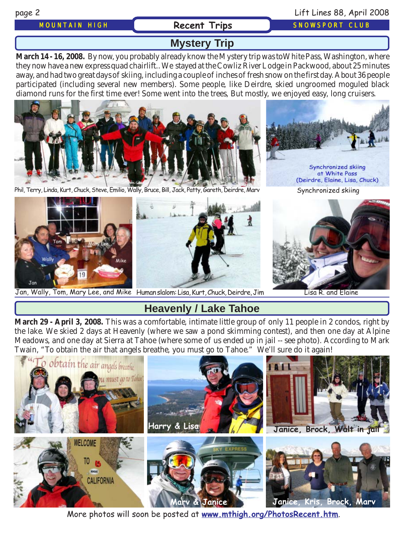# page 2 Lift Lines 88, April 2008

### MOUNTAIN HIGH **Recent Trips** SNOWSPORT CLUB

# **Mystery Trip**

**March 14 - 16, 2008.** By now, you probably already know the Mystery trip was toWhite Pass, Washington, where they now have a new express quad chairlift.. We stayed at the Cowliz River Lodge in Packwood, about 25 minutes away, and had two great days of skiing, including a couple of inches of fresh snow on the first day. About 36 people participated (including several new members). Some people, like Deirdre, skied ungroomed moguled black diamond runs for the first time ever! Some went into the trees, But mostly, we enjoyed easy, long cruisers.



Phil, Terry, Linda, Kurt, Chuck, Steve, Emilio, Wally, Bruce, Bill, Jack, Patty, Gareth, Deirdre, Marv



Synchronized skiing at White Pass (Deirdre, Elaine, Lisa, Chuck)

Synchronized skiing





# **Heavenly / Lake Tahoe**

**March 29 - April 3, 2008.** This was a comfortable, intimate little group of only 11 people in 2 condos, right by the lake. We skied 2 days at Heavenly (where we saw a pond skimming contest), and then one day at Alpine Meadows, and one day at Sierra at Tahoe (where some of us ended up in jail -- see photo). According to Mark Twain, "To obtain the air that angels breathe, you must go to Tahoe." We'll sure do it again!



More photos will soon be posted at **[www.mthigh.org/PhotosRecent.htm](http://www.mthigh.org/PhotosRecent.htm)**.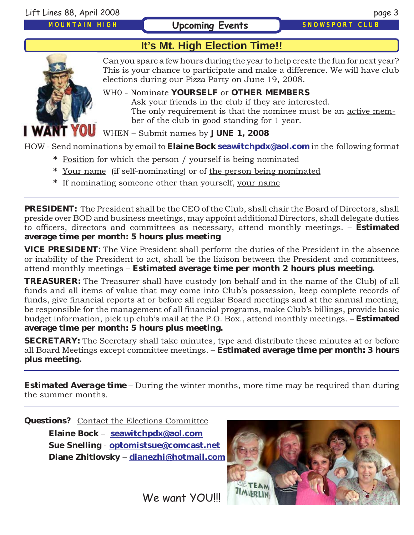# MOUNTAIN HIGH

## **Upcoming Events** SNOWSPORT CLUB

# **It's Mt. High Election Time!!**



Can you spare a few hours during the year to help create the fun for next year? This is your chance to participate and make a difference. We will have club elections during our Pizza Party on June 19, 2008.

WH0 - Nominate **YOURSELF** or **OTHER MEMBERS** Ask your friends in the club if they are interested. The only requirement is that the nominee must be an active member of the club in good standing for 1 year.

WHEN – Submit names by **JUNE 1, 2008**

HOW - Send nominations by email to **Elaine Bock [seawitchpdx@aol.com](mailto:seawitchpdx@aol.com)** in the following format

- **\*** Position for which the person / yourself is being nominated
- **\*** Your name (if self-nominating) or of the person being nominated
- **\*** If nominating someone other than yourself, your name

**PRESIDENT:** The President shall be the CEO of the Club, shall chair the Board of Directors, shall preside over BOD and business meetings, may appoint additional Directors, shall delegate duties to officers, directors and committees as necessary, attend monthly meetings. – **Estimated average time per month: 5 hours plus meeting**

**VICE PRESIDENT:** The Vice President shall perform the duties of the President in the absence or inability of the President to act, shall be the liaison between the President and committees, attend monthly meetings – **Estimated average time per month 2 hours plus meeting.**

**TREASURER:** The Treasurer shall have custody (on behalf and in the name of the Club) of all funds and all items of value that may come into Club's possession, keep complete records of funds, give financial reports at or before all regular Board meetings and at the annual meeting, be responsible for the management of all financial programs, make Club's billings, provide basic budget information, pick up club's mail at the P.O. Box., attend monthly meetings. – **Estimated average time per month: 5 hours plus meeting.**

**SECRETARY:** The Secretary shall take minutes, type and distribute these minutes at or before all Board Meetings except committee meetings. – **Estimated average time per month: 3 hours plus meeting.**

*Estimated Average time* – During the winter months, more time may be required than during the summer months.

**Questions?** Contact the Elections Committee

**Elaine Bock** – **s[eawitchpdx@aol.com](mailto:seawitchpdx@aol.com) Sue Snelling** - **o[ptomistsue@comcast.net](mailto:OptomistSue@comcast.net) Diane Zhitlovsky** – **[dianezhi@hotmail.com](mailto:dianezhi@hotmail.com)**

We want YOU!!!

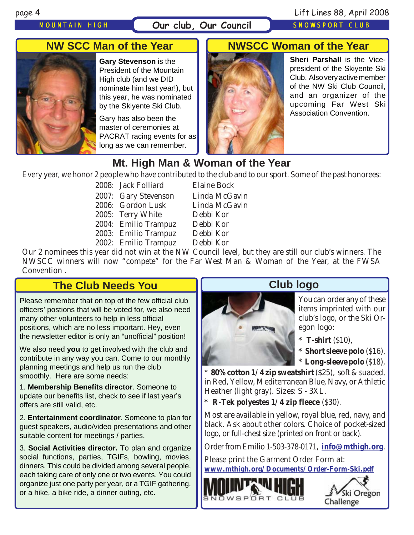# MOUNTAIN HIGH **Our club, Our Council** SNOWSPORT CLUB

page 4 Lift Lines 88, April 2008

# **NW SCC Man of the Year**



**Gary Stevenson** is the President of the Mountain High club (and we DID nominate him last year!), but this year, he was nominated by the Skiyente Ski Club.

Gary has also been the master of ceremonies at PACRAT racing events for as long as we can remember.

# **NWSCC Woman of the Year**



**Sheri Parshall** is the Vicepresident of the Skiyente Ski Club. Also very active member of the NW Ski Club Council, and an organizer of the upcoming Far West Ski Association Convention.

# **Mt. High Man & Woman of the Year**

Every year, we honor 2 people who have contributed to the club and to our sport. Some of the past honorees:

2008: Jack Folliard Elaine Bock

2007: Gary Stevenson Linda McGavin 2006: Gordon Lusk Linda McGavin

2005: Terry White Debbi Kor

2004: Emilio Trampuz Debbi Kor

2003: Emilio Trampuz Debbi Kor

2002: Emilio Trampuz Debbi Kor

Our 2 nominees this year did not win at the NW Council level, but they are still our club's winners. The NWSCC winners will now "compete" for the Far West Man & Woman of the Year, at the FWSA Convention .

# **The Club Needs You**

Please remember that on top of the few official club officers' postions that will be voted for, we also need many other volunteers to help in less official positions, which are no less important. Hey, even the newsletter editor is only an "unofficial" position!

We also need **you** to get involved with the club and contribute in any way you can. Come to our monthly planning meetings and help us run the club smoothly. Here are some needs:

1. **Membership Benefits director**. Someone to update our benefits list, check to see if last year's offers are still valid, etc.

2. **Entertainment coordinator**. Someone to plan for guest speakers, audio/video presentations and other suitable content for meetings / parties.

3. **Social Activities director.** To plan and organize social functions, parties, TGIFs, bowling, movies, dinners. This could be divided among several people, each taking care of only one or two events. You could organize just one party per year, or a TGIF gathering, or a hike, a bike ride, a dinner outing, etc.

# **Club logo**



You can order any of these items imprinted with our club's logo, or the Ski Oregon logo:

**\* T-shirt** (\$10),

**\* Short sleeve polo** (\$16),

**\* Long-sleeve polo** (\$18),

\* **80% cotton 1/4 zip sweatshirt** (\$25), soft & suaded, in Red, Yellow, Mediterranean Blue, Navy, or Athletic Heather (light gray). Sizes: S - 3XL.

**\* R-Tek polyestes 1/4 zip fleece** (\$30).

Most are available in yellow, royal blue, red, navy, and black. Ask about other colors. Choice of pocket-sized logo, or full-chest size (printed on front or back).

Order from Emilio 1-503-378-0171, **[info@mthigh.org](mailto:info@mthigh.org)**.

Please print the Garment Order Form at: **[www.mthigh.org/Documents/Order-Form-Ski.pdf](http://www.mthigh.org/Documents/Order-Form-Ski.pdf)**



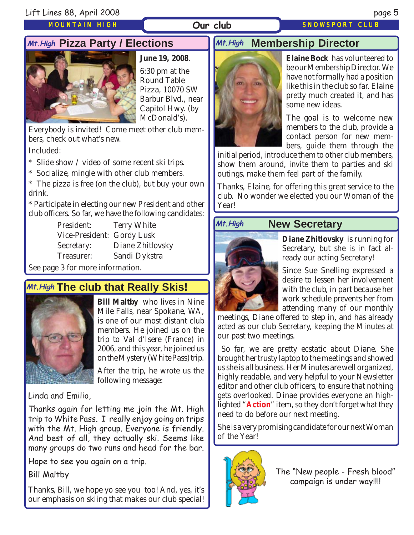## MOUNTAIN HIGH

# Our club SNOWSPORT CLUB

# **Pizza Party / Elections Mt.High Mt.High**



6:30 pm at the Round Table Pizza, 10070 SW Barbur Blvd., near Capitol Hwy. (by McDonald's).

Everybody is invited! Come meet other club members, check out what's new.

Included:

- \* Slide show / video of some recent ski trips.
- \* Socialize, mingle with other club members.

\* The pizza is free (on the club), but buy your own drink.

\* Participate in electing our new President and other club officers. So far, we have the following candidates:

| President:                 | <b>Terry White</b> |
|----------------------------|--------------------|
| Vice-President: Gordy Lusk |                    |
| Secretary:                 | Diane Zhitlovsky   |
| Treasurer:                 | Sandi Dykstra      |
|                            |                    |

See page 3 for more information.

# **Mt. High The club that Really Skis!**



**Bill Maltby** who lives in Nine Mile Falls, near Spokane, WA, is one of our most distant club members. He joined us on the trip to Val d'Isere (France) in 2006, and this year, he joined us on the Mystery (White Pass) trip.

After the trip, he wrote us the following message:

Linda and Emilio,

Thanks again for letting me join the Mt. High trip to White Pass. I really enjoy going on trips with the Mt. High group. Everyone is friendly. And best of all, they actually ski. Seems like many groups do two runs and head for the bar.

Hope to see you again on a trip.

Bill Maltby

Thanks, Bill, we hope yo see you too! And, yes, it's our emphasis on skiing that makes our club special!

# **Mt. High Membership Director**



**Elaine Bock** has volunteered to be our Membership Director. We have not formally had a position like this in the club so far. Elaine pretty much created it, and has some new ideas.

The goal is to welcome new members to the club, provide a contact person for new members, guide them through the

initial period, introduce them to other club members, show them around, invite them to parties and ski outings, make them feel part of the family.

Thanks, Elaine, for offering this great service to the club. No wonder we elected you our Woman of the Year!



# **New Secretary**



**Diane Zhitlovsky** is running for Secretary, but she is in fact already our acting Secretary!

Since Sue Snelling expressed a desire to lessen her involvement with the club, in part because her work schedule prevents her from attending many of our monthly

meetings, Diane offered to step in, and has already acted as our club Secretary, keeping the Minutes at our past two meetings.

 So far, we are pretty ecstatic about Diane. She brought her trusty laptop to the meetings and showed us she is all business. Her Minutes are well organized, highly readable, and very helpful to your Newsletter editor and other club officers, to ensure that nothing gets overlooked. Dinae provides everyone an highlighted "**Action**" item, so they don't forget what they need to do before our next meeting.

She is a very promising candidate for our next Woman of the Year!



The "New people - Fresh blood" campaign is under way!!!!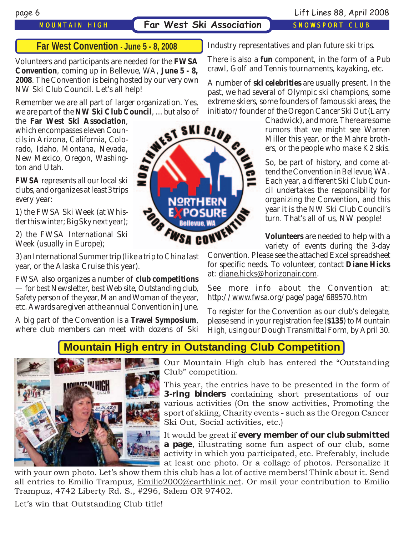# MOUNTAIN HIGH **Far West Ski Association** SNOWSPORT CLUB

page 6 Lift Lines 88, April 2008

# **Far West Convention - June 5 - 8, 2008**

Volunteers and participants are needed for the **FWSA Convention**, coming up in Bellevue, WA, **June 5 - 8, 2008**. The Convention is being hosted by our very own NW Ski Club Council. Let's all help!

we are part of the **NW Ski Club Council**, ... but also of

the **Far West Ski Association**, which encompasses eleven Councils in Arizona, California, Colorado, Idaho, Montana, Nevada, New Mexico, Oregon, Washington and Utah.

**FWSA** represents all our local ski clubs, and organizes at least 3 trips every year:

1) the FWSA Ski Week (at Whistler this winter; Big Sky next year);

2) the FWSA International Ski Week (usually in Europe);

3) an International Summer trip (like a trip to China last year, or the Alaska Cruise this year).

FWSA also organizes a number of **club competitions** — for best Newsletter, best Web site, Outstanding club, Safety person of the year, Man and Woman of the year, etc. Awards are given at the annual Convention in June.

A big part of the Convention is a **Travel Symposium**, where club members can meet with dozens of Ski



Industry representatives and plan future ski trips.

There is also a **fun** component, in the form of a Pub crawl, Golf and Tennis tournaments, kayaking, etc.

A number of **ski celebrities** are usually present. In the past, we had several of Olympic ski champions, some extreme skiers, some founders of famous ski areas, the initiator/founder of the Oregon Cancer Ski Out (Larry

> Chadwick), and more. There are some rumors that we might see Warren Miller this year, or the Mahre brothers, or the people who make K2 skis.

> So, be part of history, and come attend the Convention in Bellevue, WA. Each year, a different Ski Club Council undertakes the responsibility for organizing the Convention, and this year it is the NW Ski Club Council's turn. That's all of us, NW people!

> **Volunteers** are needed to help with a variety of events during the 3-day

for specific needs. To volunteer, contact **Diane Hicks** at: diane.hicks@horizonair.com.

See more info about the Convention at: http://www.fwsa.org/page/page/689570.htm

To register for the Convention as our club's delegate, please send in your registration fee (**\$135**) to Mountain High, using our Dough Transmittal Form, by April 30.

# **Mountain High entry in Outstanding Club Competition**



Our Mountain High club has entered the "Outstanding Club" competition.

This year, the entries have to be presented in the form of **3-ring binders** containing short presentations of our various activities (On the snow activities, Promoting the sport of skiing, Charity events - such as the Oregon Cancer Ski Out, Social activities, etc.)

It would be great if **every member of our club submitted a page**, illustrating some fun aspect of our club, some activity in which you participated, etc. Preferably, include at least one photo. Or a collage of photos. Personalize it

with your own photo. Let's show them this club has a lot of active members! Think about it. Send all entries to Emilio Trampuz, Emilio2000@earthlink.net. Or mail your contribution to Emilio Trampuz, 4742 Liberty Rd. S., #296, Salem OR 97402.

Let's win that Outstanding Club title!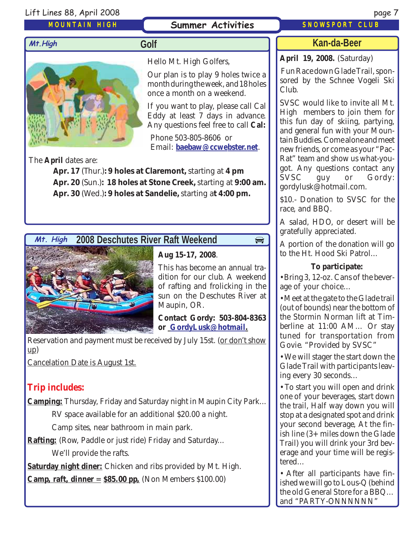# MOUNTAIN HIGH

# Summer Activities **SNOWSPORT CLUB**

# **Kan-da-Beer**

# **April 19, 2008.** (Saturday)

 Fun Race down Glade Trail, sponsored by the Schnee Vogeli Ski Club.

SVSC would like to invite all Mt. High members to join them for this fun day of skiing, partying, and general fun with your Mountain Buddies. Come alone and meet new friends, or come as your "Pac-Rat" team and show us what-yougot. Any questions contact any SVSC guy or Gordy: gordylusk@hotmail.com.

\$10.- Donation to SVSC for the race, and BBQ.

A salad, HDO, or desert will be gratefully appreciated.

A portion of the donation will go to the Ht. Hood Ski Patrol…

### **To participate:**

• Bring 3, 12-oz. Cans of the beverage of your choice…

• Meet at the gate to the Glade trail (out of bounds) near the bottom of the Stormin Norman lift at Timberline at 11:00 AM… Or stay tuned for transportation from Govie. "Provided by SVSC"

• We will stager the start down the Glade Trail with participants leaving every 30 seconds…

• To start you will open and drink one of your beverages, start down the trail, Half way down you will stop at a designated spot and drink your second beverage, At the finish line (3+ miles down the Glade Trail) you will drink your 3rd beverage and your time will be registered…

• After all participants have finished we will go to Lous-Q (behind the old General Store for a BBQ… and "PARTY-ONNNNNN"

### **Mt.High**



The **April** dates are:

**Apr. 17** (Thur.)**: 9 holes at Claremont,** starting at **4 pm Apr. 20** (Sun.)**: 18 holes at Stone Creek,** starting at **9:00 am. Apr. 30** (Wed.)**: 9 holes at Sandelie,** starting a**t 4:00 pm.**

 **Golf**

### **2008 Deschutes River Raft Weekend Mt. High**



## **Aug 15-17, 2008**.

This has become an annual tradition for our club. A weekend of rafting and frolicking in the sun on the Deschutes River at Maupin, OR.

 $\bigoplus$ 

**Contact Gordy: 503-804-8363 or [GordyLusk@hotmail.](mailto:gordylusk@hotmail.com)**

Reservation and payment must be received by July 15st. (or don't show up)

Cancelation Date is August 1st.

# **Trip includes:**

**Camping:** Thursday, Friday and Saturday night in Maupin City Park...

RV space available for an additional \$20.00 a night.

Camp sites, near bathroom in main park.

**Rafting:** (Row, Paddle or just ride) Friday and Saturday... We'll provide the rafts.

**Saturday night diner:** Chicken and ribs provided by Mt. High. **Camp, raft, dinner** = **\$85.00 pp,** (Non Members \$100.00)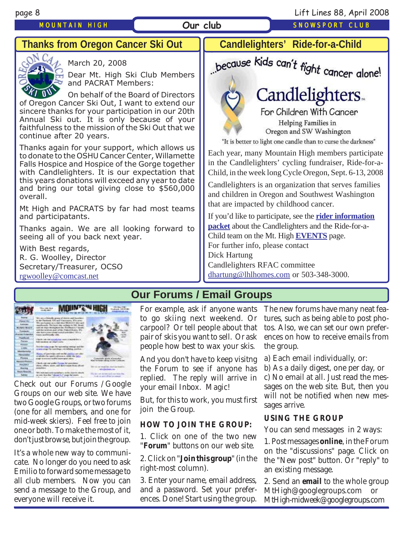# MOUNTAIN HIGH **Our club** SNOWSPORT CLUB

# **Thanks from Oregon Cancer Ski Out**



March 20, 2008

Dear Mt. High Ski Club Members and PACRAT Members:

On behalf of the Board of Directors of Oregon Cancer Ski Out, I want to extend our sincere thanks for your participation in our 20th Annual Ski out. It is only because of your faithfulness to the mission of the Ski Out that we continue after 20 years.

Thanks again for your support, which allows us to donate to the OSHU Cancer Center, Willamette Falls Hospice and Hospice of the Gorge together with Candlelighters. It is our expectation that this years donations will exceed any year to date and bring our total giving close to \$560,000 overall.

Mt High and PACRATS by far had most teams and participatants.

Thanks again. We are all looking forward to seeing all of you back next year.

With Best regards, R. G. Woolley, Director Secretary/Treasurer, OCSO [rgwoolley@comcast.net](mailto:rgwoolley@comcast.net||)



Child team on the Mt. High **[EVENTS](http://www.mthigh.org/Events.htm#Cycle_Oregon)** page. For further info, please contact Dick Hartung Candlelighters RFAC committee [dhartung@lhlhomes.com](mailto:dhartung@lhlhomes.com) or 503-348-3000.



Check out our Forums /Google Groups on our web site. We have two Google Groups, or two forums (one for all members, and one for mid-week skiers). Feel free to join one or both. To make the most of it, don't just browse, but join the group.

It's a whole new way to communicate. No longer do you need to ask Emilio to forward some message to all club members. Now you can send a message to the Group, and everyone will receive it.

## For example, ask if anyone wants to go skiing next weekend. Or carpool? Or tell people about that

pair of skis you want to sell. Or ask

**Our Forums / Email Groups**

people how best to wax your skis. And you don't have to keep visitng the Forum to see if anyone has replied. The reply will arrive in your email Inbox. Magic!

But, for this to work, you must first join the Group.

# **HOW TO JOIN THE GROUP:**

1. Click on one of the two new "**Forum**" buttons on our web site.

2. Click on "**Join this group**" (in the right-most column).

3. Enter your name, email address, and a password. Set your preferences. Done! Start using the group. The new forums have many neat features, such as being able to post photos. Also, we can set our own preferences on how to receive emails from the group.

a) Each email individually, or:

b) As a daily digest, one per day, or

c) No email at all. Just read the messages on the web site. But, then you will not be notified when new messages arrive.

## **USING THE GROUP**

You can send messages in 2 ways:

1. Post messages **online**, in the Forum on the "discussions" page. Click on the "New post" button. Or "reply" to an existing message.

2. Send an **email** to the whole group MtHigh@googlegroups.com or MtHigh-midweek@googlegroups.com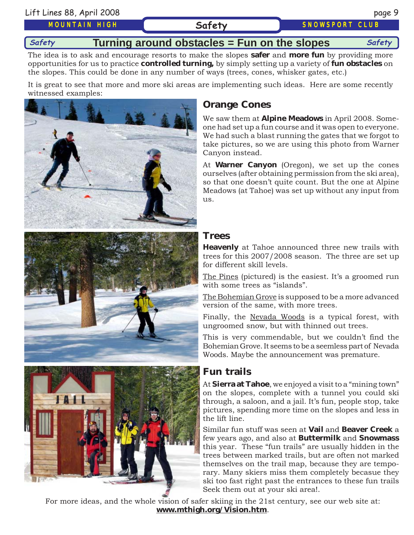### MOUNTAIN HIGH

# **Safety Turning around obstacles = Fun on the slopes** Safety

The idea is to ask and encourage resorts to make the slopes **safer** and **more fun** by providing more opportunities for us to practice **controlled turning,** by simply setting up a variety of **fun obstacles** on the slopes. This could be done in any number of ways (trees, cones, whisker gates, etc.)

It is great to see that more and more ski areas are implementing such ideas. Here are some recently witnessed examples:



# **Orange Cones**

We saw them at **Alpine Meadows** in April 2008. Someone had set up a fun course and it was open to everyone. We had such a blast running the gates that we forgot to take pictures, so we are using this photo from Warner Canyon instead.

Safety SNOWSPORT CLUB

At **Warner Canyon** (Oregon), we set up the cones ourselves (after obtaining permission from the ski area), so that one doesn't quite count. But the one at Alpine Meadows (at Tahoe) was set up without any input from us.

## **Trees**

**Heavenly** at Tahoe announced three new trails with trees for this 2007/2008 season. The three are set up for different skill levels.

The Pines (pictured) is the easiest. It's a groomed run with some trees as "islands".

The Bohemian Grove is supposed to be a more advanced version of the same, with more trees.

Finally, the Nevada Woods is a typical forest, with ungroomed snow, but with thinned out trees.

This is very commendable, but we couldn't find the Bohemian Grove. It seems to be a seemless part of Nevada Woods. Maybe the announcement was premature.

# **Fun trails**

At **Sierra at Tahoe**, we enjoyed a visit to a "mining town" on the slopes, complete with a tunnel you could ski through, a saloon, and a jail. It's fun, people stop, take pictures, spending more time on the slopes and less in the lift line.

Similar fun stuff was seen at **Vail** and **Beaver Creek** a few years ago, and also at **Buttermilk** and **Snowmass** this year. These "fun trails" are usually hidden in the trees between marked trails, but are often not marked themselves on the trail map, because they are temporary. Many skiers miss them completely becasue they ski too fast right past the entrances to these fun trails Seek them out at your ski area!.

For more ideas, and the whole vision of safer skiing in the 21st century, see our web site at: **[www.mthigh.org/Vision.htm](http://www.mthigh.org/Vision.htm)**.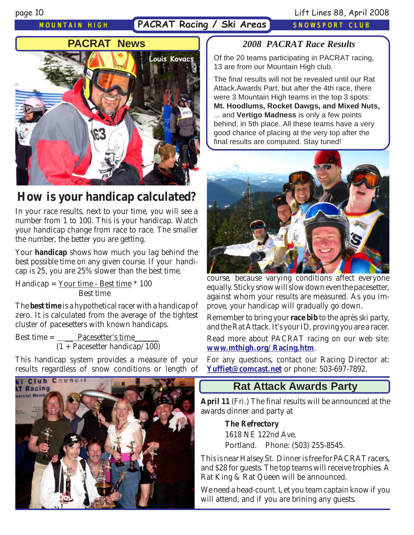# MOUNTAIN HIGH **PACRAT Racing / Ski Areas** SNOWSPORT CLUB

## page 10 Lift Lines 88, April 2008



# **How is your handicap calculated?**

In your race results, next to your time, you will see a number from 1 to 100. This is your handicap. Watch your handicap change from race to race. The smaller the number, the better you are getting.

Your **handicap** shows how much you lag behind the best possible time on any given course. If your handicap is 25, you are 25% slower than the best time.

Handicap = Your time - Best time \* 100 Best time

The **best time** is a hypothetical racer with a handicap of zero. It is calculated from the average of the tightest cluster of pacesetters with known handicaps.

```
Best time = __ Pacesetter's time______
  \sqrt{(1 + \text{Pacesetter handicap}/100)}
```
This handicap system provides a measure of your results regardless of snow conditions or length of



# *2008 PACRAT Race Results*

Of the 20 teams participating in PACRAT racing, 13 are from our Mountain High club.

The final results will not be revealed until our Rat Attack.Awards Part, but after the 4th race, there were 3 Mountain High teams in the top 3 spots: **Mt. Hoodlums, Rocket Dawgs, and Mixed Nuts,** ... and **Vertigo Madness** is only a few points behind, in 5th place. All these teams have a very good chance of placing at the very top after the final results are computed. Stay tuned!



course, because varying conditions affect everyone equally. Sticky snow will slow down even the pacesetter, against whom your results are measured. As you improve, your handicap will gradually go down.

Remember to bring your **race bib** to the après ski party, and the Rat Attack. It's your ID, proving you are a racer. Read more about PACRAT racing on our web site: **[www.mthigh.org/Racing.htm](http://www.mthigh.org/Racing.htm)**.

For any questions, contact our Racing Director at: **[Yuffiet@comcast.net](mailto:Yuffiet@comcast.net)** or phone: 503-697-7892.

# **Rat Attack Awards Party**

**April 11** (Fri.) The final results will be announced at the awards dinner and party at

> **The Refrectory** 1618 NE 122nd Ave. Portland. Phone: (503) 255-8545.

This is near Halsey St. Dinner is free for PACRAT racers, and \$28 for guests. The top teams will receive trophies. A Rat King & Rat Queen will be announced.

We need a head-count. Let you team captain know if you will attend, and if you are brining any guests.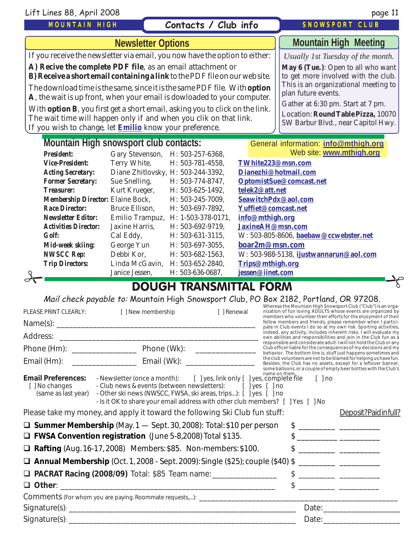### MOUNTAIN HIGH

# **Contacts / Club info**

## SNOWSPORT CLUB

# **Mountain High Meeting**

*Usually 1st Tuesday of the month.*

**May 6 (Tue.)**: Open to all who want to get more involved with the club. This is an organizational meeting to plan future events.

Gather at 6:30 pm. Start at 7 pm.

Location: **Round Table Pizza,** 10070 SW Barbur Blvd., near Capitol Hwy.

### **Newsletter Options**

If you receive the newsletter via email, you now have the option to either:

**A) Recive the complete PDF file**, as an email attachment or

**B) Receive a short email containing a link** to the PDF file on our web site.

The download time is the same, since it is the same PDF file. With **option A**, the wait is up front, when your email is dowloaded to your computer.

With **option B**, you first get a short email, asking you to click on the link. The wait time will happen only if and when you clik on that link. If you wish to change, let **[Emilio](mailto:Emilio2000@earthlink.net)** know your preference.

# **Mountain High snowsport club contacts:** General information: *inf[o@mthigh.org](mailto:info@MtHigh.org)* Web site: **w[ww.mthigh.org](http://www.mthigh.org/)**

| <b>President:</b>                        | Gary Stevenson, H: 503-257-6368,   |                                    | Web site: www.mthigh.org               |  |  |
|------------------------------------------|------------------------------------|------------------------------------|----------------------------------------|--|--|
| <i><b>Vice-President:</b></i>            | Terry White,                       | H: 503-781-4558,                   | TWhite223@msn.com                      |  |  |
| <b>Acting Secretary:</b>                 | Diane Zhitlovsky, H: 503-244-3392, |                                    | Dianezhi@hotmail.com                   |  |  |
| <b>Former Secretary:</b>                 | Sue Snelling,                      | H: 503-774-8747.                   | OptomistSue@comcast.net                |  |  |
| <i><b>Treasurer:</b></i>                 | Kurt Krueger,                      | H: 503-625-1492.                   | telek2@att.net                         |  |  |
| <b>Membership Director: Elaine Bock,</b> |                                    | $H: 503-245-7009$ ,                | SeawitchPdx@aol.com                    |  |  |
| <b>Race Director:</b>                    | Bruce Ellison.                     | H: 503-697-7892.                   | Yuffiet@comcast.net                    |  |  |
| <b>Newsletter Editor:</b>                |                                    | Emilio Trampuz, H: 1-503-378-0171, | info@mthigh.org                        |  |  |
| <b>Activities Director:</b>              | Jaxine Harris.                     | H: 503-692-9719.                   | JaxineAH@msn.com                       |  |  |
| <b>Golf:</b>                             | Cal Eddy,                          | H: 503-631-3115,                   | W: 503-805-8606, baebaw@ccwebster.net  |  |  |
| Mid-week skiing:                         | George Yun                         | H: 503-697-3055,                   | boar2m@msn.com                         |  |  |
| <b>NWSCC Rep:</b>                        | Debbi Kor,                         | $H: 503-682-1563$ ,                | W: 503-988-5138, ijustwannarun@aol.com |  |  |
| <b>Trip Directors:</b>                   | Linda McGavin,                     | H: 503-652-2840.                   | Trips@mthigh.org                       |  |  |
|                                          | Janice Jessen,                     | H: 503-636-0687,                   | jessen@iinet.com                       |  |  |
| <b>DOUGH TRANSMITTAL FORM</b>            |                                    |                                    |                                        |  |  |

Mail check payable to: Mountain High Snowsport Club, PO Box 2182, Portland, OR 97208.

| PLEASE PRINT CLEARLY:                                                       | [ ] New membership                                                                                                                                                                                                                                                                                                    | [ ] Renewal                                                                                                                                                                                                                                                                                                         | Whereas the Mountain High Snowsport Club ("Club") is an orga-<br>nization of fun loving ADULTS whose events are organized by<br>members who volunteer their efforts for the enjoyment of their                                                                                                                      |
|-----------------------------------------------------------------------------|-----------------------------------------------------------------------------------------------------------------------------------------------------------------------------------------------------------------------------------------------------------------------------------------------------------------------|---------------------------------------------------------------------------------------------------------------------------------------------------------------------------------------------------------------------------------------------------------------------------------------------------------------------|---------------------------------------------------------------------------------------------------------------------------------------------------------------------------------------------------------------------------------------------------------------------------------------------------------------------|
|                                                                             |                                                                                                                                                                                                                                                                                                                       |                                                                                                                                                                                                                                                                                                                     | fellow members and friends, please remember when I partici-<br>pate in Club events I do so at my own risk. Sporting activities,                                                                                                                                                                                     |
|                                                                             |                                                                                                                                                                                                                                                                                                                       |                                                                                                                                                                                                                                                                                                                     | indeed, any activity, includes inherent risks. I will evaluate my<br>own abilities and responsibilities and join in the Club fun as a                                                                                                                                                                               |
|                                                                             |                                                                                                                                                                                                                                                                                                                       |                                                                                                                                                                                                                                                                                                                     | responsible and considerate adult. I will not hold the Club or any<br>Club officer liable for the consequences of my decisions and my<br>behavior. The bottom line is, stuff just happens sometimes and                                                                                                             |
|                                                                             |                                                                                                                                                                                                                                                                                                                       |                                                                                                                                                                                                                                                                                                                     | the club volunteers are not to be blamed for helping us have fun.<br>Besides, the Club has no assets, except for a leftover banner,<br>some balloons, or a couple of empty beer bottles with the Club's                                                                                                             |
| <b>Email Preferences:</b><br>[ ] No changes                                 | - Newsletter (once a month): [ ] yes, link only [ ] yes, complete file [ ] no<br>- Club news & events (between newsletters): [ ] yes [ ] no<br>(same as last year) - Other ski news (NWSCC, FWSA, ski areas, trips): [ ] yes [ ] no<br>- Is it OK to share your email address with other club members? [ ] Yes [ ] No |                                                                                                                                                                                                                                                                                                                     |                                                                                                                                                                                                                                                                                                                     |
| Please take my money, and apply it toward the following Ski Club fun stuff: |                                                                                                                                                                                                                                                                                                                       |                                                                                                                                                                                                                                                                                                                     | Deposit?Paidinfull?                                                                                                                                                                                                                                                                                                 |
|                                                                             | $\Box$ Summer Membership (May. 1 — Sept. 30, 2008): Total: \$10 per person                                                                                                                                                                                                                                            |                                                                                                                                                                                                                                                                                                                     | $\frac{1}{2}$ $\frac{1}{2}$ $\frac{1}{2}$ $\frac{1}{2}$ $\frac{1}{2}$ $\frac{1}{2}$ $\frac{1}{2}$ $\frac{1}{2}$ $\frac{1}{2}$ $\frac{1}{2}$ $\frac{1}{2}$ $\frac{1}{2}$ $\frac{1}{2}$ $\frac{1}{2}$ $\frac{1}{2}$ $\frac{1}{2}$ $\frac{1}{2}$ $\frac{1}{2}$ $\frac{1}{2}$ $\frac{1}{2}$ $\frac{1}{2}$ $\frac{1}{2}$ |
| □ FWSA Convention registration (June 5-8,2008) Total \$135.                 |                                                                                                                                                                                                                                                                                                                       |                                                                                                                                                                                                                                                                                                                     |                                                                                                                                                                                                                                                                                                                     |
|                                                                             | $\Box$ Rafting (Aug. 16-17, 2008) Members: \$85. Non-members: \$100.                                                                                                                                                                                                                                                  | $\frac{1}{2}$ $\frac{1}{2}$ $\frac{1}{2}$ $\frac{1}{2}$ $\frac{1}{2}$ $\frac{1}{2}$ $\frac{1}{2}$ $\frac{1}{2}$ $\frac{1}{2}$ $\frac{1}{2}$ $\frac{1}{2}$ $\frac{1}{2}$ $\frac{1}{2}$ $\frac{1}{2}$ $\frac{1}{2}$ $\frac{1}{2}$ $\frac{1}{2}$ $\frac{1}{2}$ $\frac{1}{2}$ $\frac{1}{2}$ $\frac{1}{2}$ $\frac{1}{2}$ |                                                                                                                                                                                                                                                                                                                     |
|                                                                             | $\Box$ Annual Membership (Oct. 1, 2008 - Sept. 2009): Single (\$25); couple (\$40) \$                                                                                                                                                                                                                                 |                                                                                                                                                                                                                                                                                                                     |                                                                                                                                                                                                                                                                                                                     |
| <b>D</b> PACRAT Racing (2008/09) Total: \$85 Team name: _________________   |                                                                                                                                                                                                                                                                                                                       |                                                                                                                                                                                                                                                                                                                     | $\frac{1}{2}$ $\frac{1}{2}$ $\frac{1}{2}$ $\frac{1}{2}$ $\frac{1}{2}$ $\frac{1}{2}$ $\frac{1}{2}$ $\frac{1}{2}$ $\frac{1}{2}$ $\frac{1}{2}$ $\frac{1}{2}$ $\frac{1}{2}$ $\frac{1}{2}$ $\frac{1}{2}$ $\frac{1}{2}$ $\frac{1}{2}$ $\frac{1}{2}$ $\frac{1}{2}$ $\frac{1}{2}$ $\frac{1}{2}$ $\frac{1}{2}$ $\frac{1}{2}$ |
|                                                                             |                                                                                                                                                                                                                                                                                                                       |                                                                                                                                                                                                                                                                                                                     | $\frac{1}{2}$ $\frac{1}{2}$ $\frac{1}{2}$ $\frac{1}{2}$ $\frac{1}{2}$ $\frac{1}{2}$ $\frac{1}{2}$ $\frac{1}{2}$ $\frac{1}{2}$ $\frac{1}{2}$ $\frac{1}{2}$ $\frac{1}{2}$ $\frac{1}{2}$ $\frac{1}{2}$ $\frac{1}{2}$ $\frac{1}{2}$ $\frac{1}{2}$ $\frac{1}{2}$ $\frac{1}{2}$ $\frac{1}{2}$ $\frac{1}{2}$ $\frac{1}{2}$ |
|                                                                             |                                                                                                                                                                                                                                                                                                                       |                                                                                                                                                                                                                                                                                                                     |                                                                                                                                                                                                                                                                                                                     |
|                                                                             |                                                                                                                                                                                                                                                                                                                       |                                                                                                                                                                                                                                                                                                                     |                                                                                                                                                                                                                                                                                                                     |
|                                                                             |                                                                                                                                                                                                                                                                                                                       |                                                                                                                                                                                                                                                                                                                     |                                                                                                                                                                                                                                                                                                                     |